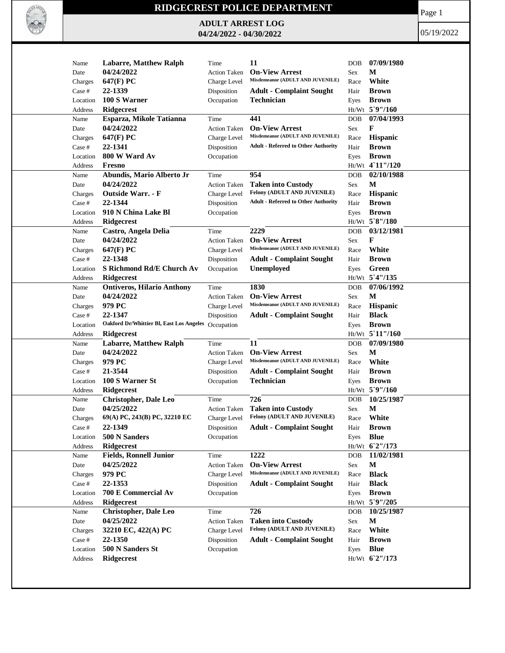

## **RIDGECREST POLICE DEPARTMENT**

**ADULT ARREST LOG 04/24/2022 - 04/30/2022**

Page 1

05/19/2022

| Name     | <b>Labarre, Matthew Ralph</b>                       | Time                        | 11                                                        | <b>DOB</b> | 07/09/1980        |
|----------|-----------------------------------------------------|-----------------------------|-----------------------------------------------------------|------------|-------------------|
| Date     | 04/24/2022                                          | <b>Action Taken</b>         | <b>On-View Arrest</b>                                     | <b>Sex</b> | М                 |
| Charges  | 647(F) PC                                           | Charge Level                | Misdemeanor (ADULT AND JUVENILE)                          | Race       | White             |
| Case #   | 22-1339                                             | Disposition                 | <b>Adult - Complaint Sought</b>                           | Hair       | <b>Brown</b>      |
| Location | 100 S Warner                                        | Occupation                  | Technician                                                | Eyes       | <b>Brown</b>      |
| Address  | Ridgecrest                                          |                             |                                                           |            | Ht/Wt 5`9"/160    |
| Name     | Esparza, Mikole Tatianna                            | Time                        | 441                                                       | <b>DOB</b> | 07/04/1993        |
| Date     | 04/24/2022                                          | <b>Action Taken</b>         | <b>On-View Arrest</b>                                     | Sex        | F                 |
| Charges  | 647(F) PC                                           | Charge Level                | Misdemeanor (ADULT AND JUVENILE)                          | Race       | <b>Hispanic</b>   |
| Case #   | 22-1341                                             | Disposition                 | <b>Adult - Referred to Other Authority</b>                | Hair       | <b>Brown</b>      |
| Location | 800 W Ward Av                                       | Occupation                  |                                                           | Eyes       | <b>Brown</b>      |
| Address  | Fresno                                              |                             |                                                           |            | Ht/Wt 4`11"/120   |
| Name     | Abundis, Mario Alberto Jr                           | Time                        | 954                                                       | <b>DOB</b> | 02/10/1988        |
| Date     | 04/24/2022                                          | <b>Action Taken</b>         | <b>Taken into Custody</b>                                 | Sex        | M                 |
| Charges  | Outside Warr. - F                                   | Charge Level                | Felony (ADULT AND JUVENILE)                               | Race       | Hispanic          |
| Case #   | 22-1344                                             | Disposition                 | <b>Adult - Referred to Other Authority</b>                | Hair       | <b>Brown</b>      |
| Location | 910 N China Lake Bl                                 |                             |                                                           |            | <b>Brown</b>      |
|          |                                                     | Occupation                  |                                                           | Eyes       | Ht/Wt 5`8"/180    |
| Address  | Ridgecrest                                          |                             | 2229                                                      |            |                   |
| Name     | Castro, Angela Delia                                | Time                        |                                                           | <b>DOB</b> | 03/12/1981        |
| Date     | 04/24/2022                                          | <b>Action Taken</b>         | <b>On-View Arrest</b><br>Misdemeanor (ADULT AND JUVENILE) | <b>Sex</b> | F                 |
| Charges  | 647(F) PC                                           | Charge Level                |                                                           | Race       | White             |
| Case #   | 22-1348                                             | Disposition                 | <b>Adult - Complaint Sought</b>                           | Hair       | <b>Brown</b>      |
| Location | S Richmond Rd/E Church Av                           | Occupation                  | Unemployed                                                | Eyes       | Green             |
| Address  | <b>Ridgecrest</b>                                   |                             |                                                           |            | Ht/Wt 5'4"/135    |
| Name     | <b>Ontiveros, Hilario Anthony</b>                   | Time                        | 1830                                                      | <b>DOB</b> | 07/06/1992        |
| Date     | 04/24/2022                                          | <b>Action Taken</b>         | <b>On-View Arrest</b>                                     | Sex        | М                 |
| Charges  | 979 PC                                              | Charge Level                | Misdemeanor (ADULT AND JUVENILE)                          | Race       | <b>Hispanic</b>   |
| Case #   | 22-1347                                             | Disposition                 | <b>Adult - Complaint Sought</b>                           | Hair       | <b>Black</b>      |
| Location | Oakford Dr/Whittier Bl, East Los Angeles Occupation |                             |                                                           | Eyes       | <b>Brown</b>      |
| Address  | <b>Ridgecrest</b>                                   |                             |                                                           |            | $Ht/Wt$ 5 11"/160 |
| Name     | <b>Labarre, Matthew Ralph</b>                       | Time                        | 11                                                        | <b>DOB</b> | 07/09/1980        |
| Date     | 04/24/2022                                          | <b>Action Taken</b>         | <b>On-View Arrest</b>                                     | <b>Sex</b> | M                 |
| Charges  | 979 PC                                              | Charge Level                | Misdemeanor (ADULT AND JUVENILE)                          | Race       | White             |
| Case #   | 21-3544                                             | Disposition                 | <b>Adult - Complaint Sought</b>                           | Hair       | <b>Brown</b>      |
| Location | 100 S Warner St                                     | Occupation                  | Technician                                                | Eyes       | <b>Brown</b>      |
| Address  | Ridgecrest                                          |                             |                                                           |            | Ht/Wt 5`9"/160    |
| Name     | <b>Christopher, Dale Leo</b>                        | Time                        | 726                                                       | <b>DOB</b> | 10/25/1987        |
| Date     | 04/25/2022                                          | <b>Action Taken</b>         | <b>Taken into Custody</b>                                 | <b>Sex</b> | M                 |
| Charges  | 69(A) PC, 243(B) PC, 32210 EC                       | Charge Level                | Felony (ADULT AND JUVENILE)                               | Race       | White             |
| Case #   | 22-1349                                             | Disposition                 | <b>Adult - Complaint Sought</b>                           | Hair       | <b>Brown</b>      |
| Location | 500 N Sanders                                       | Occupation                  |                                                           | Eyes       | <b>Blue</b>       |
| Address  | <b>Ridgecrest</b>                                   |                             |                                                           |            | Ht/Wt 62"/173     |
|          | <b>Fields, Ronnell Junior</b>                       |                             | 1222                                                      |            |                   |
| Name     | 04/25/2022                                          | Time<br><b>Action Taken</b> | <b>On-View Arrest</b>                                     | <b>DOB</b> | 11/02/1981<br>M   |
| Date     |                                                     |                             | Misdemeanor (ADULT AND JUVENILE)                          | Sex        |                   |
| Charges  | 979 PC                                              | Charge Level                |                                                           | Race       | <b>Black</b>      |
| Case #   | 22-1353                                             | Disposition                 | <b>Adult - Complaint Sought</b>                           | Hair       | <b>Black</b>      |
| Location | 700 E Commercial Av                                 | Occupation                  |                                                           | Eyes       | <b>Brown</b>      |
| Address  | Ridgecrest                                          |                             |                                                           |            | Ht/Wt 5`9"/205    |
| Name     | <b>Christopher, Dale Leo</b>                        | Time                        | 726                                                       | <b>DOB</b> | 10/25/1987        |
| Date     | 04/25/2022                                          | <b>Action Taken</b>         | <b>Taken into Custody</b>                                 | Sex        | M                 |
| Charges  | 32210 EC, 422(A) PC                                 | Charge Level                | Felony (ADULT AND JUVENILE)                               | Race       | White             |
| Case #   | 22-1350                                             | Disposition                 | <b>Adult - Complaint Sought</b>                           | Hair       | <b>Brown</b>      |
| Location | 500 N Sanders St                                    | Occupation                  |                                                           | Eyes       | <b>Blue</b>       |
| Address  | Ridgecrest                                          |                             |                                                           |            | Ht/Wt 62"/173     |
|          |                                                     |                             |                                                           |            |                   |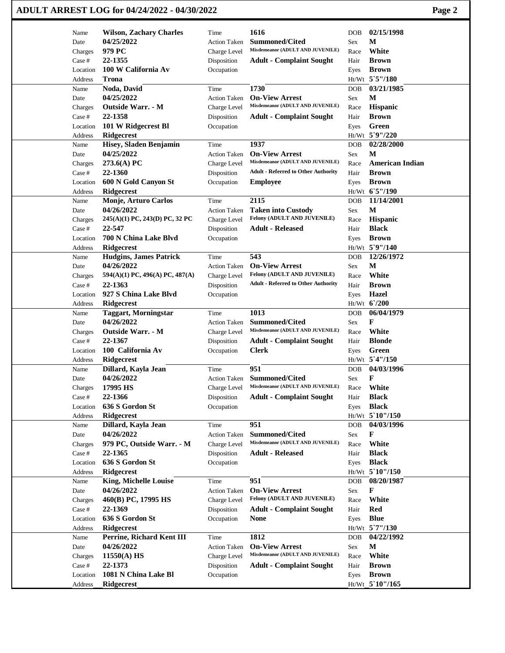## **ADULT ARREST LOG for 04/24/2022 - 04/30/2022 Page 2**

| Name     | <b>Wilson, Zachary Charles</b>           | Time                | 1616                                                      | <b>DOB</b> | 02/15/1998                     |
|----------|------------------------------------------|---------------------|-----------------------------------------------------------|------------|--------------------------------|
| Date     | 04/25/2022                               | <b>Action Taken</b> | <b>Summoned/Cited</b><br>Misdemeanor (ADULT AND JUVENILE) | Sex        | М                              |
| Charges  | 979 PC                                   | Charge Level        |                                                           | Race       | White                          |
| Case #   | 22-1355                                  | Disposition         | <b>Adult - Complaint Sought</b>                           | Hair       | <b>Brown</b>                   |
| Location | 100 W California Av                      | Occupation          |                                                           | Eyes       | <b>Brown</b><br>Ht/Wt 5`5"/180 |
| Address  | <b>Trona</b>                             |                     | 1730                                                      |            | 03/21/1985                     |
| Name     | Noda, David<br>04/25/2022                | Time                | <b>On-View Arrest</b>                                     | <b>DOB</b> | M                              |
| Date     | <b>Outside Warr. - M</b>                 | <b>Action Taken</b> | Misdemeanor (ADULT AND JUVENILE)                          | Sex        |                                |
| Charges  | 22-1358                                  | Charge Level        |                                                           | Race       | Hispanic                       |
| Case #   |                                          | Disposition         | <b>Adult - Complaint Sought</b>                           | Hair       | <b>Brown</b><br>Green          |
| Location | 101 W Ridgecrest Bl<br><b>Ridgecrest</b> | Occupation          |                                                           | Eyes       | Ht/Wt 5`9"/220                 |
| Address  | Hisey, Sladen Benjamin                   | Time                | 1937                                                      |            | 02/28/2000                     |
| Name     | 04/25/2022                               |                     | <b>On-View Arrest</b>                                     | DOB        | M                              |
| Date     |                                          | <b>Action Taken</b> | Misdemeanor (ADULT AND JUVENILE)                          | Sex        | <b>American Indian</b>         |
| Charges  | 273.6(A) PC<br>22-1360                   | Charge Level        | <b>Adult - Referred to Other Authority</b>                | Race       | <b>Brown</b>                   |
| Case #   |                                          | Disposition         |                                                           | Hair       |                                |
| Location | 600 N Gold Canyon St                     | Occupation          | <b>Employee</b>                                           | Eyes       | <b>Brown</b>                   |
| Address  | <b>Ridgecrest</b>                        |                     |                                                           |            | Ht/Wt 6'5"/190                 |
| Name     | Monje, Arturo Carlos                     | Time                | 2115                                                      | <b>DOB</b> | 11/14/2001                     |
| Date     | 04/26/2022                               | <b>Action Taken</b> | <b>Taken into Custody</b><br>Felony (ADULT AND JUVENILE)  | Sex        | $\mathbf M$                    |
| Charges  | 245(A)(1) PC, 243(D) PC, 32 PC           | Charge Level        |                                                           | Race       | Hispanic                       |
| Case #   | 22-547                                   | Disposition         | <b>Adult - Released</b>                                   | Hair       | <b>Black</b>                   |
| Location | 700 N China Lake Blvd                    | Occupation          |                                                           | Eyes       | <b>Brown</b>                   |
| Address  | Ridgecrest                               |                     |                                                           |            | Ht/Wt 5`9"/140                 |
| Name     | <b>Hudgins, James Patrick</b>            | Time                | 543                                                       | <b>DOB</b> | 12/26/1972                     |
| Date     | 04/26/2022                               | <b>Action Taken</b> | <b>On-View Arrest</b>                                     | Sex        | М                              |
| Charges  | 594(A)(1) PC, 496(A) PC, 487(A)          | Charge Level        | Felony (ADULT AND JUVENILE)                               | Race       | White                          |
| Case #   | 22-1363                                  | Disposition         | <b>Adult - Referred to Other Authority</b>                | Hair       | <b>Brown</b>                   |
| Location | 927 S China Lake Blvd                    | Occupation          |                                                           | Eyes       | Hazel                          |
| Address  | <b>Ridgecrest</b>                        |                     |                                                           |            | Ht/Wt 6'/200                   |
| Name     | <b>Taggart, Morningstar</b>              | Time                | 1013                                                      | DOB        | 06/04/1979                     |
| Date     | 04/26/2022                               | <b>Action Taken</b> | <b>Summoned/Cited</b>                                     | Sex        | F                              |
| Charges  | <b>Outside Warr. - M</b>                 | Charge Level        | Misdemeanor (ADULT AND JUVENILE)                          | Race       | White                          |
| Case #   | 22-1367                                  | Disposition         | <b>Adult - Complaint Sought</b>                           | Hair       | <b>Blonde</b>                  |
| Location | 100 California Av                        | Occupation          | <b>Clerk</b>                                              | Eyes       | Green                          |
| Address  | <b>Ridgecrest</b>                        |                     |                                                           |            | Ht/Wt 5'4"/150                 |
| Name     | Dillard, Kayla Jean                      | Time                | 951                                                       | <b>DOB</b> | 04/03/1996                     |
| Date     | 04/26/2022                               | <b>Action Taken</b> | <b>Summoned/Cited</b>                                     | Sex        | F                              |
| Charges  | 17995 HS                                 | Charge Level        | Misdemeanor (ADULT AND JUVENILE)                          | Race       | White                          |
| Case #   | 22-1366                                  | Disposition         | <b>Adult - Complaint Sought</b>                           | Hair       | <b>Black</b>                   |
| Location | 636 S Gordon St                          | Occupation          |                                                           | Eyes       | <b>Black</b>                   |
| Address  | Ridgecrest                               |                     |                                                           |            | Ht/Wt 5`10"/150                |
| Name     | Dillard, Kayla Jean                      | Time                | 951                                                       | DOB        | 04/03/1996                     |
| Date     | 04/26/2022                               | <b>Action Taken</b> | <b>Summoned/Cited</b>                                     | Sex        | F                              |
| Charges  | 979 PC, Outside Warr. - M                | Charge Level        | Misdemeanor (ADULT AND JUVENILE)                          | Race       | White                          |
| Case #   | 22-1365                                  | Disposition         | <b>Adult - Released</b>                                   | Hair       | <b>Black</b>                   |
| Location | 636 S Gordon St                          | Occupation          |                                                           | Eyes       | <b>Black</b>                   |
| Address  | <b>Ridgecrest</b>                        |                     |                                                           |            | Ht/Wt 5`10"/150                |
| Name     | King, Michelle Louise                    | Time                | 951                                                       | DOB        | 08/20/1987                     |
| Date     | 04/26/2022                               | <b>Action Taken</b> | <b>On-View Arrest</b>                                     | Sex        | F                              |
| Charges  | 460(B) PC, 17995 HS                      | Charge Level        | Felony (ADULT AND JUVENILE)                               | Race       | White                          |
| Case #   | 22-1369                                  | Disposition         | <b>Adult - Complaint Sought</b>                           | Hair       | <b>Red</b>                     |
| Location | 636 S Gordon St                          | Occupation          | <b>None</b>                                               | Eyes       | <b>Blue</b>                    |
| Address  | <b>Ridgecrest</b>                        |                     |                                                           |            | Ht/Wt 5`7"/130                 |
| Name     | Perrine, Richard Kent III                | Time                | 1812                                                      | <b>DOB</b> | 04/22/1992                     |
| Date     | 04/26/2022                               | <b>Action Taken</b> | <b>On-View Arrest</b>                                     | Sex        | M                              |
| Charges  | 11550(A) HS                              | Charge Level        | Misdemeanor (ADULT AND JUVENILE)                          | Race       | White                          |
| Case #   | 22-1373                                  | Disposition         | <b>Adult - Complaint Sought</b>                           | Hair       | <b>Brown</b>                   |
| Location | 1081 N China Lake Bl                     | Occupation          |                                                           | Eyes       | <b>Brown</b>                   |
| Address  | <b>Ridgecrest</b>                        |                     |                                                           |            | Ht/Wt_5`10"/165                |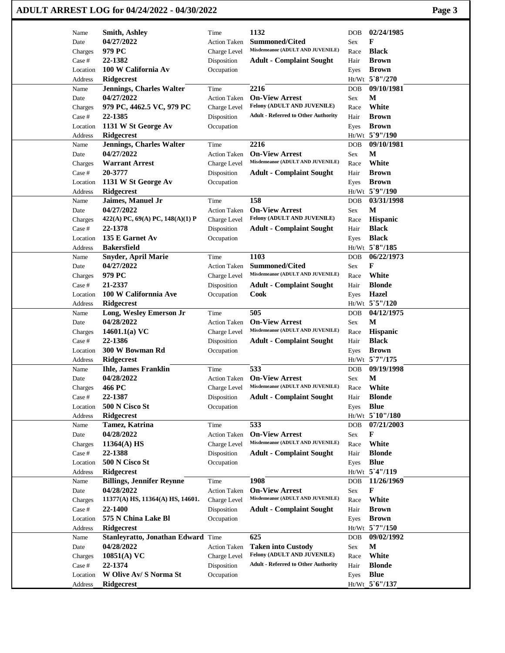|                   | ADULT ARREST LOG for 04/24/2022 - 04/30/2022 |                     |                                                           |            |                 | Page 3 |
|-------------------|----------------------------------------------|---------------------|-----------------------------------------------------------|------------|-----------------|--------|
| Name              | <b>Smith, Ashley</b>                         | Time                | 1132                                                      | DOB        | 02/24/1985      |        |
| Date              | 04/27/2022                                   | <b>Action Taken</b> | <b>Summoned/Cited</b>                                     | Sex        | F               |        |
| Charges           | 979 PC                                       | Charge Level        | Misdemeanor (ADULT AND JUVENILE)                          | Race       | <b>Black</b>    |        |
| Case #            | 22-1382                                      | Disposition         | <b>Adult - Complaint Sought</b>                           | Hair       | <b>Brown</b>    |        |
| Location          | 100 W California Av                          | Occupation          |                                                           | Eyes       | <b>Brown</b>    |        |
| Address           | <b>Ridgecrest</b>                            |                     |                                                           |            | Ht/Wt 5`8"/270  |        |
| Name              | <b>Jennings, Charles Walter</b>              | Time                | 2216                                                      | <b>DOB</b> | 09/10/1981      |        |
| Date              | 04/27/2022                                   | <b>Action Taken</b> | <b>On-View Arrest</b>                                     | Sex        | М               |        |
| Charges           | 979 PC, 4462.5 VC, 979 PC                    | Charge Level        | Felony (ADULT AND JUVENILE)                               | Race       | White           |        |
| Case #            | 22-1385                                      | Disposition         | <b>Adult - Referred to Other Authority</b>                | Hair       | <b>Brown</b>    |        |
| Location          | 1131 W St George Av                          | Occupation          |                                                           | Eyes       | <b>Brown</b>    |        |
| Address           | <b>Ridgecrest</b>                            |                     |                                                           |            | Ht/Wt 5`9"/190  |        |
| Name              | <b>Jennings, Charles Walter</b>              | Time                | 2216                                                      | DOB        | 09/10/1981      |        |
| Date              | 04/27/2022                                   | <b>Action Taken</b> | <b>On-View Arrest</b>                                     | Sex        | M               |        |
| Charges           | <b>Warrant Arrest</b>                        | Charge Level        | Misdemeanor (ADULT AND JUVENILE)                          | Race       | White           |        |
| Case #            | 20-3777                                      | Disposition         | <b>Adult - Complaint Sought</b>                           | Hair       | <b>Brown</b>    |        |
| Location          | 1131 W St George Av                          | Occupation          |                                                           | Eyes       | <b>Brown</b>    |        |
| Address           | <b>Ridgecrest</b>                            |                     |                                                           |            | Ht/Wt 5`9"/190  |        |
| Name              | Jaimes, Manuel Jr                            | Time                | 158                                                       | <b>DOB</b> | 03/31/1998      |        |
| Date              | 04/27/2022                                   | <b>Action Taken</b> | <b>On-View Arrest</b>                                     | Sex        | M               |        |
| Charges           | 422(A) PC, 69(A) PC, 148(A)(1) P             | Charge Level        | Felony (ADULT AND JUVENILE)                               | Race       | <b>Hispanic</b> |        |
| Case #            | 22-1378                                      | Disposition         | <b>Adult - Complaint Sought</b>                           | Hair       | <b>Black</b>    |        |
| Location          | 135 E Garnet Av                              | Occupation          |                                                           | Eyes       | <b>Black</b>    |        |
| Address           | <b>Bakersfield</b>                           |                     |                                                           |            | Ht/Wt 5`8"/185  |        |
| Name              | <b>Snyder, April Marie</b>                   | Time                | 1103                                                      | <b>DOB</b> | 06/22/1973      |        |
| Date              | 04/27/2022                                   | <b>Action Taken</b> | <b>Summoned/Cited</b>                                     | Sex        | F               |        |
| Charges           | 979 PC                                       | Charge Level        | Misdemeanor (ADULT AND JUVENILE)                          | Race       | White           |        |
| Case #            | 21-2337                                      | Disposition         | <b>Adult - Complaint Sought</b>                           | Hair       | <b>Blonde</b>   |        |
| Location          | 100 W Californnia Ave                        | Occupation          | <b>Cook</b>                                               | Eyes       | Hazel           |        |
| Address           | Ridgecrest                                   |                     |                                                           |            | Ht/Wt 5`5"/120  |        |
| Name              | Long, Wesley Emerson Jr                      | Time                | 505                                                       | <b>DOB</b> | 04/12/1975      |        |
| Date              | 04/28/2022                                   | <b>Action Taken</b> | <b>On-View Arrest</b>                                     | Sex        | M               |        |
| Charges           | 14601.1(a) $VC$                              | Charge Level        | Misdemeanor (ADULT AND JUVENILE)                          | Race       | <b>Hispanic</b> |        |
| Case #            | 22-1386                                      | Disposition         | <b>Adult - Complaint Sought</b>                           | Hair       | <b>Black</b>    |        |
| Location          | 300 W Bowman Rd                              | Occupation          |                                                           | Eyes       | <b>Brown</b>    |        |
| Address           | Ridgecrest                                   |                     |                                                           |            | Ht/Wt 5`7"/175  |        |
| Name              | <b>Ihle, James Franklin</b>                  | Time                | 533                                                       | <b>DOB</b> | 09/19/1998      |        |
| Date              | 04/28/2022                                   | <b>Action Taken</b> | <b>On-View Arrest</b>                                     | Sex        | $\mathbf M$     |        |
|                   | 466 PC                                       | Charge Level        | Misdemeanor (ADULT AND JUVENILE)                          | Race       | White           |        |
| Charges<br>Case # | 22-1387                                      |                     |                                                           | Hair       | <b>Blonde</b>   |        |
|                   |                                              | Disposition         | <b>Adult - Complaint Sought</b>                           |            | <b>Blue</b>     |        |
| Location          | 500 N Cisco St                               | Occupation          |                                                           | Eyes       | Ht/Wt 5`10"/180 |        |
| Address           | <b>Ridgecrest</b>                            | Time                | 533                                                       | <b>DOB</b> | 07/21/2003      |        |
| Name              | Tamez, Katrina<br>04/28/2022                 |                     | <b>On-View Arrest</b>                                     |            | F               |        |
| Date              |                                              | <b>Action Taken</b> | Misdemeanor (ADULT AND JUVENILE)                          | Sex        | White           |        |
| Charges           | 11364(A) HS<br>22-1388                       | Charge Level        |                                                           | Race       | <b>Blonde</b>   |        |
| Case #            |                                              | Disposition         | <b>Adult - Complaint Sought</b>                           | Hair       |                 |        |
| Location          | 500 N Cisco St                               | Occupation          |                                                           | Eyes       | <b>Blue</b>     |        |
| Address           | <b>Ridgecrest</b>                            |                     |                                                           |            | Ht/Wt 5'4"/119  |        |
| Name              | <b>Billings, Jennifer Reynne</b>             | Time                | 1908                                                      | <b>DOB</b> | 11/26/1969      |        |
| Date              | 04/28/2022                                   | <b>Action Taken</b> | <b>On-View Arrest</b><br>Misdemeanor (ADULT AND JUVENILE) | Sex        | F               |        |
| Charges           | 11377(A) HS, 11364(A) HS, 14601.             | Charge Level        |                                                           | Race       | White           |        |
| Case #            | <b>22-1400</b>                               | Disposition         | <b>Adult - Complaint Sought</b>                           | Hair       | <b>Brown</b>    |        |
| Location          | 575 N China Lake Bl                          | Occupation          |                                                           | Eyes       | <b>Brown</b>    |        |
| Address           | <b>Ridgecrest</b>                            |                     |                                                           |            | Ht/Wt 5`7"/150  |        |
| Name              | Stanleyratto, Jonathan Edward Time           |                     | 625                                                       | DOB        | 09/02/1992      |        |
| Date              | 04/28/2022                                   | <b>Action Taken</b> | <b>Taken into Custody</b>                                 | Sex        | $\mathbf M$     |        |
| Charges           | 10851(A) VC                                  | Charge Level        | Felony (ADULT AND JUVENILE)                               | Race       | White           |        |
| Case #            | 22-1374                                      | Disposition         | <b>Adult - Referred to Other Authority</b>                | Hair       | <b>Blonde</b>   |        |
| Location          | W Olive Av/ S Norma St                       | Occupation          |                                                           | Eyes       | <b>Blue</b>     |        |
| Address           | Ridgecrest                                   |                     |                                                           |            | Ht/Wt 5'6"/137  |        |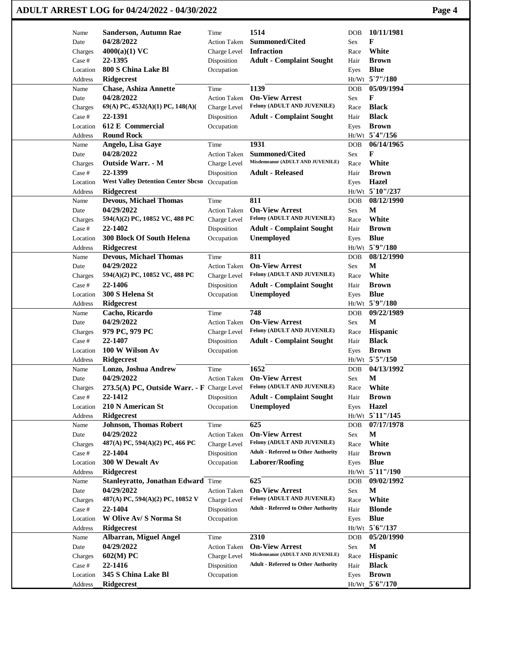|                 | ADULT ARREST LOG for 04/24/2022 - 04/30/2022 |                             |                                                      |                                  | Page 4 |
|-----------------|----------------------------------------------|-----------------------------|------------------------------------------------------|----------------------------------|--------|
| Name            | Sanderson, Autumn Rae                        | Time                        | 1514                                                 | 10/11/1981<br><b>DOB</b>         |        |
| Date            | 04/28/2022                                   | <b>Action Taken</b>         | <b>Summoned/Cited</b>                                | F<br>Sex                         |        |
| Charges         | $4000(a)(1)$ VC                              | Charge Level                | <b>Infraction</b>                                    | White<br>Race                    |        |
| Case #          | 22-1395                                      | Disposition                 | <b>Adult - Complaint Sought</b>                      | <b>Brown</b><br>Hair             |        |
| Location        | 800 S China Lake Bl                          | Occupation                  |                                                      | <b>Blue</b><br>Eyes              |        |
| Address         | <b>Ridgecrest</b>                            |                             |                                                      | Ht/Wt 5`7"/180                   |        |
| Name            | <b>Chase, Ashiza Annette</b>                 | Time                        | 1139                                                 | 05/09/1994<br><b>DOB</b>         |        |
| Date            | 04/28/2022                                   | <b>Action Taken</b>         | <b>On-View Arrest</b>                                | F<br>Sex                         |        |
| Charges         | 69(A) PC, 4532(A)(1) PC, 148(A)(             | Charge Level                | Felony (ADULT AND JUVENILE)                          | <b>Black</b><br>Race             |        |
| Case #          | 22-1391                                      | Disposition                 | <b>Adult - Complaint Sought</b>                      | <b>Black</b><br>Hair             |        |
| Location        | 612 E Commercial                             | Occupation                  |                                                      | <b>Brown</b><br>Eyes             |        |
| Address         | <b>Round Rock</b>                            |                             |                                                      | Ht/Wt 5'4"/156                   |        |
| Name            | Angelo, Lisa Gaye                            | Time                        | 1931                                                 | 06/14/1965<br>DOB                |        |
| Date            | 04/28/2022                                   | <b>Action Taken</b>         | <b>Summoned/Cited</b>                                | F<br>Sex                         |        |
| Charges         | <b>Outside Warr. - M</b>                     | Charge Level                | Misdemeanor (ADULT AND JUVENILE)                     | White<br>Race                    |        |
| Case #          | 22-1399                                      | Disposition                 | <b>Adult - Released</b>                              | <b>Brown</b><br>Hair             |        |
| Location        | <b>West Valley Detention Center Sbcso</b>    | Occupation                  |                                                      | <b>Hazel</b><br>Eyes             |        |
| Address         | <b>Ridgecrest</b>                            |                             |                                                      | Ht/Wt 5`10"/237                  |        |
| Name            | <b>Devous, Michael Thomas</b>                | Time                        | 811                                                  | 08/12/1990<br><b>DOB</b>         |        |
| Date            | 04/29/2022                                   | <b>Action Taken</b>         | <b>On-View Arrest</b>                                | M<br>Sex                         |        |
| Charges         | 594(A)(2) PC, 10852 VC, 488 PC               | Charge Level                | Felony (ADULT AND JUVENILE)                          | White<br>Race                    |        |
| Case #          | 22-1402                                      | Disposition                 | <b>Adult - Complaint Sought</b>                      | <b>Brown</b><br>Hair             |        |
| Location        | 300 Block Of South Helena                    | Occupation                  | <b>Unemployed</b>                                    | <b>Blue</b><br>Eyes              |        |
| Address         | <b>Ridgecrest</b>                            |                             |                                                      | Ht/Wt 5`9"/180                   |        |
| Name            | <b>Devous, Michael Thomas</b>                | Time                        | 811                                                  | 08/12/1990<br><b>DOB</b>         |        |
| Date            | 04/29/2022                                   | <b>Action Taken</b>         | <b>On-View Arrest</b>                                | М<br>Sex                         |        |
| Charges         | 594(A)(2) PC, 10852 VC, 488 PC               | Charge Level                | Felony (ADULT AND JUVENILE)                          | White<br>Race                    |        |
| Case #          | 22-1406                                      | Disposition                 | <b>Adult - Complaint Sought</b>                      | <b>Brown</b><br>Hair             |        |
| Location        | 300 S Helena St                              | Occupation                  | <b>Unemployed</b>                                    | <b>Blue</b><br>Eyes              |        |
| Address         | <b>Ridgecrest</b>                            |                             |                                                      | Ht/Wt 5`9"/180                   |        |
| Name            | Cacho, Ricardo                               | Time                        | 748                                                  | 09/22/1989<br>DOB                |        |
| Date            | 04/29/2022                                   | <b>Action Taken</b>         | <b>On-View Arrest</b>                                | M<br>Sex                         |        |
| Charges         | 979 PC, 979 PC                               | Charge Level                | Felony (ADULT AND JUVENILE)                          | <b>Hispanic</b><br>Race          |        |
| Case #          | 22-1407                                      | Disposition                 | <b>Adult - Complaint Sought</b>                      | <b>Black</b><br>Hair             |        |
| Location        | 100 W Wilson Av                              | Occupation                  |                                                      | <b>Brown</b><br>Eyes             |        |
| Address         | <b>Ridgecrest</b>                            |                             |                                                      | Ht/Wt 5`5"/150                   |        |
| Name            | Lonzo, Joshua Andrew                         | Time                        | 1652                                                 | 04/13/1992<br>DOB                |        |
| Date            | 04/29/2022                                   | <b>Action Taken</b>         | <b>On-View Arrest</b><br>Felony (ADULT AND JUVENILE) | $\mathbf M$<br>Sex               |        |
| Charges         | 273.5(A) PC, Outside Warr. - F Charge Level  |                             |                                                      | White<br>Race                    |        |
| Case #          | 22-1412                                      | Disposition                 | <b>Adult - Complaint Sought</b>                      | <b>Brown</b><br>Hair             |        |
| Location        | 210 N American St<br>Ridgecrest              | Occupation                  | <b>Unemployed</b>                                    | Hazel<br>Eyes<br>Ht/Wt 5 11"/145 |        |
| Address         | <b>Johnson, Thomas Robert</b>                | Time                        | 625                                                  | 07/17/1978                       |        |
| Name            | 04/29/2022                                   | <b>Action Taken</b>         | <b>On-View Arrest</b>                                | <b>DOB</b><br>M                  |        |
| Date<br>Charges | 487(A) PC, 594(A)(2) PC, 466 PC              |                             | Felony (ADULT AND JUVENILE)                          | Sex<br>White                     |        |
| Case #          | 22-1404                                      | Charge Level<br>Disposition | <b>Adult - Referred to Other Authority</b>           | Race<br><b>Brown</b><br>Hair     |        |
| Location        | 300 W Dewalt Av                              | Occupation                  | <b>Laborer/Roofing</b>                               | <b>Blue</b>                      |        |
| Address         | <b>Ridgecrest</b>                            |                             |                                                      | Eyes<br>Ht/Wt 5'11"/190          |        |
| Name            | Stanleyratto, Jonathan Edward Time           |                             | 625                                                  | 09/02/1992<br><b>DOB</b>         |        |
| Date            | 04/29/2022                                   | <b>Action Taken</b>         | <b>On-View Arrest</b>                                | M<br>Sex                         |        |
| Charges         | 487(A) PC, 594(A)(2) PC, 10852 V             | Charge Level                | Felony (ADULT AND JUVENILE)                          | White<br>Race                    |        |
| Case #          | 22-1404                                      | Disposition                 | <b>Adult - Referred to Other Authority</b>           | <b>Blonde</b><br>Hair            |        |
| Location        | W Olive Av/ S Norma St                       | Occupation                  |                                                      | <b>Blue</b><br>Eyes              |        |
| Address         | <b>Ridgecrest</b>                            |                             |                                                      | Ht/Wt 5'6"/137                   |        |
| Name            | <b>Albarran, Miguel Angel</b>                | Time                        | 2310                                                 | 05/20/1990<br><b>DOB</b>         |        |
| Date            | 04/29/2022                                   | <b>Action Taken</b>         | <b>On-View Arrest</b>                                | $\mathbf M$<br>Sex               |        |
| Charges         | 602(M) PC                                    | Charge Level                | Misdemeanor (ADULT AND JUVENILE)                     | <b>Hispanic</b><br>Race          |        |
| Case #          | 22-1416                                      | Disposition                 | <b>Adult - Referred to Other Authority</b>           | <b>Black</b><br>Hair             |        |
| Location        | 345 S China Lake Bl                          | Occupation                  |                                                      | <b>Brown</b><br>Eyes             |        |
| Address         | Ridgecrest                                   |                             |                                                      | Ht/Wt 5'6"/170                   |        |
|                 |                                              |                             |                                                      |                                  |        |